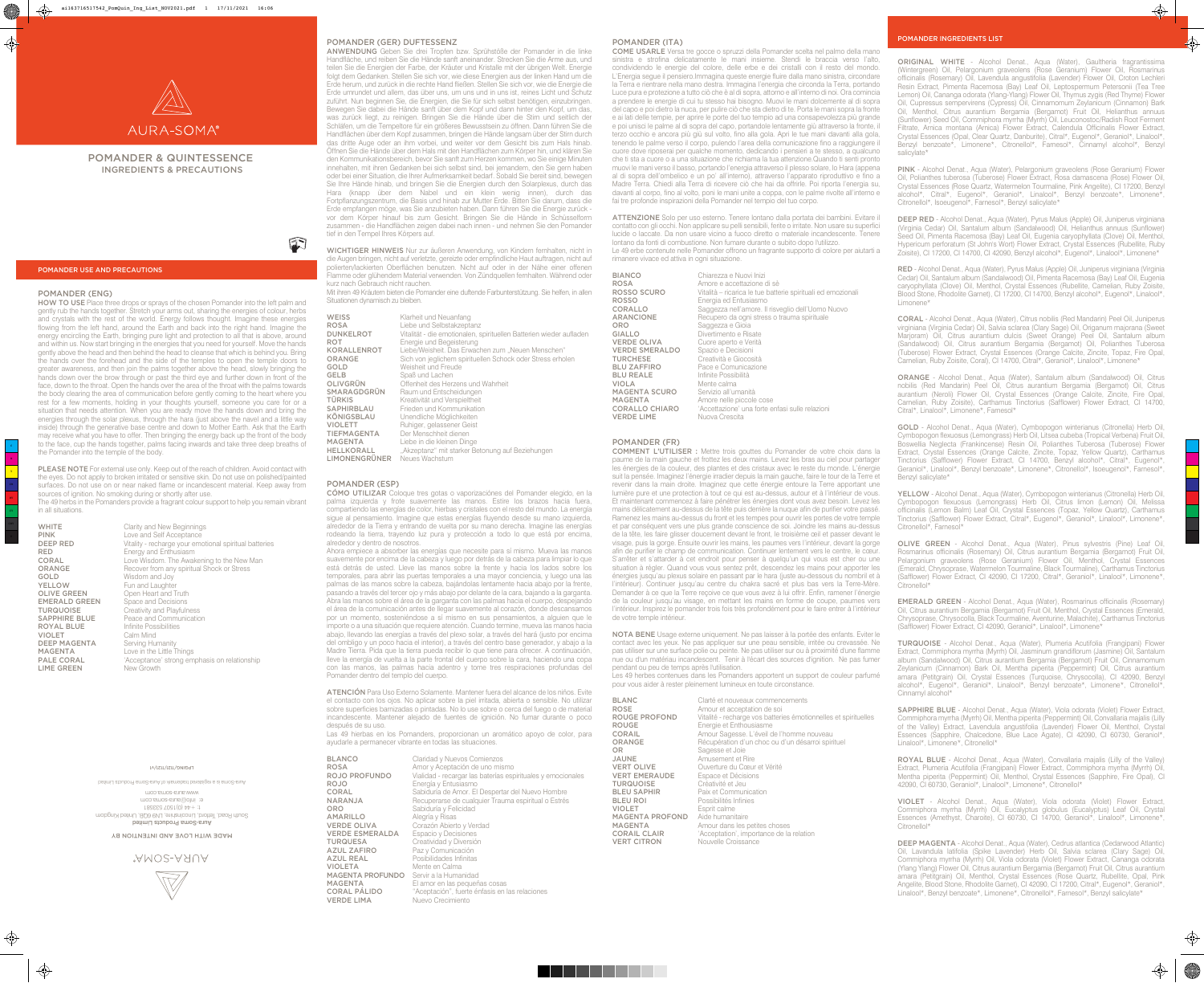# POMANDER & QUINTESSENCE INGREDIENTS & PRECAUTIONS

## POMANDER USE AND PRECAUTIONS

# POMANDER INGREDIENTS LIST

## POMANDER (ENG)

HOW TO USE Place three drops or sprays of the chosen Pomander into the left palm and gently rub the hands together. Stretch your arms out, sharing the energies of colour, herbs and crystals with the rest of the world. Energy follows thought. Imagine these energies flowing from the left hand, around the Earth and back into the right hand. Imagine the energy encircling the Earth, bringing pure light and protection to all that is above, around and within us. Now start bringing in the energies that you need for yourself. Move the hands gently above the head and then behind the head to cleanse that which is behind you. Bring the hands over the forehead and the side of the temples to open the temple doors to greater awareness, and then join the palms together above the head, slowly bringing the hands down over the brow through or past the third eye and further down in front of the face, down to the throat. Open the hands over the area of the throat with the palms towards the body clearing the area of communication before gently coming to the heart where you rest for a few moments, holding in your thoughts yourself, someone you care for or a situation that needs attention. When you are ready move the hands down and bring the energies through the solar plexus, through the hara (just above the navel and a little way inside) through the generative base centre and down to Mother Earth. Ask that the Earth may receive what you have to offer. Then bringing the energy back up the front of the body to the face, cup the hands together, palms facing inwards and take three deep breaths of the Pomander into the temple of the body.

PLEASE NOTE For external use only. Keep out of the reach of children. Avoid contact with the eyes. Do not apply to broken irritated or sensitive skin. Do not use on polished/painted surfaces. Do not use on or near naked flame or incandescent material. Keep away from sources of ignition. No smoking during or shortly after use. The 49 herbs in the Pomanders provide a fragrant colour support to help you remain vibrant in all situations.

|                      | UKIRY GHU I YUYY DUGIHI III IYU                        |
|----------------------|--------------------------------------------------------|
| <b>PINK</b>          | Love and Self Acceptance                               |
| <b>DEEP RED</b>      | Vitality - recharge your emotional spiritual batteries |
| RED                  | Energy and Enthusiasm                                  |
| <b>CORAL</b>         | Love Wisdom. The Awakening to the New Man              |
| ORANGE               | Recover from any spiritual Shock or Stress             |
| GOLD                 | Wisdom and Joy                                         |
| YELLOW               | Fun and Laughter                                       |
| <b>OLIVE GREEN</b>   | Open Heart and Truth                                   |
| <b>EMERALD GREEN</b> | Space and Decisions                                    |
| <b>TURQUOISE</b>     | Creativity and Playfulness                             |
| <b>SAPPHIRE BLUE</b> | Peace and Communication                                |
| <b>ROYAL BLUE</b>    | Infinite Possibilities                                 |
| <b>VIOLET</b>        | Calm Mind                                              |
| <b>DEEP MAGENTA</b>  | Serving Humanity                                       |
| MAGENTA              | Love in the Little Things                              |
| PALE CORAL           | 'Acceptance' strong emphasis on relationship           |
| <b>LIME GREEN</b>    | New Growth                                             |
|                      |                                                        |

#### 14/1711/211/9NI0d1

moo.smoe-suus.www Aura-Souns is a registered tradement of Aura-Souns Products Limited

Aura-Soma Products Limited South Road, Tettord, Lincolnshire, LN9 60B, United Kingdom 1 t: +44 (0)1507 53358 e: info@aura-soma.com

ORIGINAL WHITE - Alcohol Denat., Aqua (Water), Gaultheria fragrantissima (Wintergreen) Oil, Pelargonium graveolens (Rose Geranium) Flower Oil, Rosmarinus officinalis (Rosemary) Oil, Lavendula angustifolia (Lavender) Flower Oil, Croton Lechleri Resin Extract, Pimenta Racemosa (Bay) Leaf Oil, Leptospermum Petersonii (Tea Tree Lemon) Oil, Cananga odorata (Ylang-Ylang) Flower Oil, Thymus zygis (Red Thyme) Flower Oil, Cupressus sempervirens (Cypress) Oil, Cinnamomum Zeylanicum (Cinnamon) Bark Oil, Menthol, Citrus aurantium Bergamia (Bergamot) Fruit Oil, Helianthus annuus (Sunflower) Seed Oil, Commiphora myrrha (Myrrh) Oil, Leuconostoc/Radish Root Ferment Filtrate, Arnica montana (Arnica) Flower Extract, Calendula Officinalis Flower Extract, Crystal Essences (Opal, Clear Quartz, Danburite), Citral\*, Eugenol\*, Geraniol\*, Linalool\*, Benzyl benzoate\*, Limonene\*, Citronellol\*, Farnesol\*, Cinnamyl alcohol\*, Benzyl salicylate\*

 $\bigoplus$ 

 $\spadesuit$ 

OLIVE GREEN - Alcohol Denat., Aqua (Water), Pinus sylvestris (Pine) Leaf Oil, Rosmarinus officinalis (Rosemary) Oil, Citrus aurantium Bergamia (Bergamot) Fruit Oil, Pelargonium graveolens (Rose Geranium) Flower Oil, Menthol, Crystal Essences (Emerald, Chrysoprase, Watermelon Tourmaline, Black Tourmaline), Carthamus Tinctorius (Safflower) Flower Extract, CI 42090, CI 17200, Citral\*, Geraniol\*, Linalool\*, Limonene\*, Citronellol<sup>\*</sup>

PINK - Alcohol Denat., Aqua (Water), Pelargonium graveolens (Rose Geranium) Flower Oil, Polianthes tuberosa (Tuberose) Flower Extract, Rosa damascena (Rose) Flower Oil, Crystal Essences (Rose Quartz, Watermelon Tourmaline, Pink Angelite), CI 17200, Benzyl alcohol\*, Citral\*, Eugenol\*, Geraniol\*, Linalool\*, Benzyl benzoate\*, Limonene\*, Citronellol\*, Isoeugenol\*, Farnesol\*, Benzyl salicylate\*

DEEP RED - Alcohol Denat., Aqua (Water), Pyrus Malus (Apple) Oil, Juniperus virginiana (Virginia Cedar) Oil, Santalum album (Sandalwood) Oil, Helianthus annuus (Sunflower) Seed Oil, Pimenta Racemosa (Bay) Leaf Oil, Eugenia caryophyllata (Clove) Oil, Menthol, Hypericum perforatum (St John's Wort) Flower Extract, Crystal Essences (Rubellite, Ruby Zoisite), CI 17200, CI 14700, CI 42090, Benzyl alcohol\*, Eugenol\*, Linalool\*, Limonene\*

SAPPHIRE BLUE - Alcohol Denat., Aqua (Water), Viola odorata (Violet) Flower Extract, Commiphora myrrha (Myrrh) Oil, Mentha piperita (Peppermint) Oil, Convallaria majalis (Lilly of the Valley) Extract, Lavendula angustifolia (Lavender) Flower Oil, Menthol, Crystal Essences (Sapphire, Chalcedone, Blue Lace Agate), CI 42090, CI 60730, Geraniol\*, Linalool\*, Limonene\*, Citronellol\*

DEEP MAGENTA - Alcohol Denat., Aqua (Water), Cedrus atlantica (Cedarwood Atlantic) Oil, Lavandula latifolia (Spike Lavender) Herb Oil, Salvia sclarea (Clary Sage) Oil, Commiphora myrrha (Myrrh) Oil, Viola odorata (Violet) Flower Extract, Cananga odorata (Ylang Ylang) Flower Oil, Citrus aurantium Bergamia (Bergamot) Fruit Oil, Citrus aurantium amara (Petitgrain) Oil, Menthol, Crystal Essences (Rose Quartz, Rubellite, Opal, Pink Angelite, Blood Stone, Rhodolite Garnet), CI 42090, CI 17200, Citral\*, Eugenol\*, Geraniol\*, Linalool\*, Benzyl benzoate\*, Limonene\*, Citronellol\*, Farnesol\*, Benzyl salicylate\*

RED - Alcohol Denat., Aqua (Water), Pyrus Malus (Apple) Oil, Juniperus virginiana (Virginia Cedar) Oil, Santalum album (Sandalwood) Oil, Pimenta Racemosa (Bay) Leaf Oil, Eugenia caryophyllata (Clove) Oil, Menthol, Crystal Essences (Rubellite, Carnelian, Ruby Zoisite, Blood Stone, Rhodolite Garnet), CI 17200, CI 14700, Benzyl alcohol\*, Eugenol\*, Linalool\*, Limonene\*

CORAL - Alcohol Denat., Aqua (Water), Citrus nobilis (Red Mandarin) Peel Oil, Juniperus virginiana (Virginia Cedar) Oil, Salvia sclarea (Clary Sage) Oil, Origanum majorana (Sweet Marjoram) Oil, Citrus aurantium dulcis (Sweet Orange) Peel Oil, Santalum album (Sandalwood) Oil, Citrus aurantium Bergamia (Bergamot) Oil, Polianthes Tuberosa (Tuberose) Flower Extract, Crystal Essences (Orange Calcite, Zincite, Topaz, Fire Opal, Carnelian, Ruby Zoisite, Coral), CI 14700, Citral\*, Geraniol\*, Linalool\*, Limonene\*

ORANGE - Alcohol Denat., Aqua (Water), Santalum album (Sandalwood) Oil, Citrus nobilis (Red Mandarin) Peel Oil, Citrus aurantium Bergamia (Bergamot) Oil, Citrus aurantium (Neroli) Flower Oil, Crystal Essences (Orange Calcite, Zincite, Fire Opal, Carnelian, Ruby Zoisite), Carthamus Tinctorius (Safflower) Flower Extract, CI 14700, Citral\*, Linalool\*, Limonene\*, Farnesol\*

WICHTIGER HINWEIS Nur zur äußeren Anwendung, von Kindern fernhalten, nicht in die Augen bringen, nicht auf verletzte, gereizte oder empfindliche Haut auftragen, nicht auf polierten/lackierten Oberflächen benutzen. Nicht auf oder in der Nähe einer offenen Flamme oder glühendem Material verwenden. Von Zündquellen fernhalten. Während oder kurz nach Gebrauch nicht rauchen.

> GOLD - Alcohol Denat., Aqua (Water), Cymbopogon winterianus (Citronella) Herb Oil, Cymbopogon flexuosus (Lemongrass) Herb Oil, Litsea cubeba (Tropical Verbena) Fruit Oil, Boswellia Neglecta (Frankincense) Resin Oil, Polianthes Tuberosa (Tuberose) Flower Extract, Crystal Essences (Orange Calcite, Zincite, Topaz, Yellow Quartz), Carthamus Tinctorius (Safflower) Flower Extract, CI 14700, Benzyl alcohol\*, Citral\*, Eugenol\*, Geraniol\*, Linalool\*, Benzyl benzoate\*, Limonene\*, Citronellol\*, Isoeugenol\*, Farnesol\*, Benzyl salicylate\*

> YELLOW - Alcohol Denat., Aqua (Water), Cymbopogon winterianus (Citronella) Herb Oil, Cymbopogon flexuosus (Lemongrass) Herb Oil, Citrus limon (Lemon) Oil, Melissa officinalis (Lemon Balm) Leaf Oil, Crystal Essences (Topaz, Yellow Quartz), Carthamus Tinctorius (Safflower) Flower Extract, Citral\*, Eugenol\*, Geraniol\*, Linalool\*, Limonene\*, Citronellol\*, Farnesol\*

> EMERALD GREEN - Alcohol Denat., Aqua (Water), Rosmarinus officinalis (Rosemary) Oil, Citrus aurantium Bergamia (Bergamot) Fruit Oil, Menthol, Crystal Essences (Emerald, Chrysoprase, Chrysocolla, Black Tourmaline, Aventurine, Malachite), Carthamus Tinctorius (Safflower) Flower Extract, CI 42090, Geraniol\*, Linalool\*, Limonene\*

Las 49 hierbas en los Pomanders, proporcionan un aromático apoyo de color, para ayudarle a permanecer vibrante en todas las situaciones.

ROJO **Energía y Entusiasmo ORO** Sabiduría y Felicidad<br> **AMARILLO** Alegría y Risas **VERDE ESMERALDA** Espacio y Decisiones<br> **TURQUESA** Creatividad y Diversión **TURQUESA** Creatividad y Diversión<br> **AZUL ZAFIRO** Paz y Comunicación AZUL REAL Posibilidades Infinitas VIOLETA Mente en Calma MAGENTA PROFUNDO Servir a la Humanidad<br>MAGENTA El amor en las pequeñ VERDE LIMA Nuevo Crecimiento

BLANCO Claridad y Nuevos Comienzos ROSA **Amor y Aceptación de uno mismo<br>ROJO PROFUNDO** Vialidad - recargar las baterías esp Vialidad - recargar las baterías espirituales y emocionales CORAL Sabiduría de Amor. El Despertar del Nuevo Hombre<br>
NARANJA Recuperarse de cualquier Trauma espiritual o Estrés Recuperarse de cualquier Trauma espiritual o Estrés Alegría y Risas VERDE OLIVA Corazón Abierto y Verdad Paz y Comunicación **MAGENTA** El amor en las pequeñas cosas<br> **CORAL PÁLIDO** "Aceptación", fuerte énfasis en l "Aceptación", fuerte énfasis en las relaciones

TURQUOISE - Alcohol Denat., Aqua (Water), Plumeria Acutifolia (Frangipani) Flower Extract, Commiphora myrrha (Myrrh) Oil, Jasminum grandiflorum (Jasmine) Oil, Santalum album (Sandalwood) Oil, Citrus aurantium Bergamia (Bergamot) Fruit Oil, Cinnamomum Zeylanicum (Cinnamon) Bark Oil, Mentha piperita (Peppermint) Oil, Citrus aurantium amara (Petitgrain) Oil, Crystal Essences (Turquoise, Chrysocolla), CI 42090, Benzyl alcohol\*, Eugenol\*, Geraniol\*, Linalool\*, Benzyl benzoate\*, Limonene\*, Citronellol\*, Cinnamyl alcohol\*

ROYAL BLUE - Alcohol Denat., Aqua (Water), Convallaria majalis (Lilly of the Valley) Extract, Plumeria Acutifolia (Frangipani) Flower Extract, Commiphora myrrha (Myrrh) Oil, Mentha piperita (Peppermint) Oil, Menthol, Crystal Essences (Sapphire, Fire Opal), CI 42090, CI 60730, Geraniol\*, Linalool\*, Limonene\*, Citronellol\*

VIOLET - Alcohol Denat., Aqua (Water), Viola odorata (Violet) Flower Extract, Commiphora myrrha (Myrrh) Oil, Eucalyptus globulus (Eucalyptus) Leaf Oil, Crystal Essences (Amethyst, Charoite), CI 60730, CI 14700, Geraniol\*, Linalool\*, Limonene\*, Citronellol\*

ANWENDUNG Geben Sie drei Tropfen bzw. Sprühstöße der Pomander in die linke Handfläche, und reiben Sie die Hände sanft aneinander. Strecken Sie die Arme aus, und teilen Sie die Energien der Farbe, der Kräuter und Kristalle mit der übrigen Welt. Energie folgt dem Gedanken. Stellen Sie sich vor, wie diese Energien aus der linken Hand um die Erde herum, und zurück in die rechte Hand fließen. Stellen Sie sich vor, wie die Energie die Erde umrundet und allem, das über uns, um uns und in uns ist, reines Licht und Schutz zuführt. Nun beginnen Sie, die Energien, die Sie für sich selbst benötigen, einzubringen. Bewegen Sie dabei die Hände sanft über dem Kopf und dann hinter den Kopf, um das, was zurück liegt, zu reinigen. Bringen Sie die Hände über die Stirn und seitlich der Schläfen, um die Tempeltore für ein größeres Bewusstsein zu öffnen. Dann führen Sie die Handflächen über dem Kopf zusammen, bringen die Hände langsam über der Stirn durch das dritte Auge oder an ihm vorbei, und weiter vor dem Gesicht bis zum Hals hinab. Öffnen Sie die Hände über dem Hals mit den Handflächen zum Körper hin, und klären Sie den Kommunikationsbereich, bevor Sie sanft zum Herzen kommen, wo Sie einige Minuten innehalten, mit ihren Gedanken bei sich selbst sind, bei jemandem, den Sie gern haben oder bei einer Situation, die Ihrer Aufmerksamkeit bedarf. Sobald Sie bereit sind, bewegen Sie Ihre Hände hinab, und bringen Sie die Energien durch den Solarplexus, durch das Hara (knapp über dem Nabel und ein klein wenig innen), durch das Fortpflanzungszentrum, die Basis und hinab zur Mutter Erde. Bitten Sie darum, dass die Erde empfangen möge, was Sie anzubieten haben. Dann führen Sie die Energie zurück vor dem Körper hinauf bis zum Gesicht. Bringen Sie die Hände in Schüsselform zusammen - die Handflächen zeigen dabei nach innen - und nehmen Sie den Pomander tief in den Tempel Ihres Körpers auf.

Mit ihren 49 Kräutern bieten die Pomander eine duftende Farbunterstützung. Sie helfen, in allen Situationen dynamisch zu bleiben.

GELB Spaß und Lachen LIMONENGRÜNER

WEISS Klarheit und Neuanfang<br>
ROSA Liebe und Selbstakzepta **ROSA** Liebe und Selbstakzeptanz<br> **DUNKELROT** Vitalität - die emotionalen, sp Vitalität - die emotionalen, spirituellen Batterien wieder aufladen **ROT** Energie und Begeisterung<br> **KORALLENROT** Liebe/Weisheit. Das Erwach KORALLENROT Liebe/Weisheit. Das Erwachen zum "Neuen Menschen"<br>ORANGE Sich von jeglichem spirituellen Schock oder Stress erhol ORANGE Sich von jeglichem spirituellen Schock oder Stress erholen<br>
GOLD Weisheit und Freude Weisheit und Freude **OLIVGRÜN Offenheit des Herzens und Wahrheit<br>SMARAGDGRÜN Raum und Entscheidungen SMARAGDGRÜN Raum und Entscheidungen<br>TÜRKIS** Kreativität und Verspieltheit **TÜRKIS** Kreativität und Verspieltheit<br>
SAPHIRBLAU Frieden und Kommunikation **Frieden und Kommunikation** KÖNIGSBLAU Unendliche Möglichkeiten VIOLETT Ruhiger, gelassener Geist<br>TIEFMAGENTA Der Menschheit dienen TIEFMAGENTA Der Menschheit dienen<br>
MAGENTA Liebe in die kleinen Ding MAGENTA Liebe in die kleinen Dinge<br>
HELLKORALL Akzeptanz" mit starker Be "Akzeptanz" mit starker Betonung auf Beziehungen<br>Neues Wachstum

#### POMANDER (ESP)

CÓMO UTILIZAR Coloque tres gotas o vaporizaciónes del Pomander elegido, en la palma izquierda y frote suavemente las manos. Estire los brazos hacia fuera, compartiendo las energías de color, hierbas y cristales con el resto del mundo. La energía sigue al pensamiento. Imagine que estas energías fluyendo desde su mano izquierda, alrededor de la Tierra y entrando de vuelta por su mano derecha. Imagine las energías rodeando la tierra, trayendo luz pura y protección a todo lo que está por encima, alrededor y dentro de nosotros.

Ahora empiece a absorber las energías que necesite para sí mismo. Mueva las manos suavemente por encima de la cabeza y luego por detrás de la cabeza para limpiar lo que está detrás de usted. Lleve las manos sobre la frente y hacia los lados sobre los temporales, para abrir las puertas temporales a una mayor conciencia, y luego una las palmas de las manos sobre la cabeza, bajándolas lentamente hacia abajo por la frente, pasando a través del tercer ojo y más abajo por delante de la cara, bajando a la garganta. Abra las manos sobre el área de la garganta con las palmas hacia el cuerpo, despejando el área de la comunicación antes de llegar suavemente al corazón, donde descansamos por un momento, sosteniéndose a sí mismo en sus pensamientos, a alguien que le importe o a una situación que requiere atención. Cuando termine, mueva las manos hacia abajo, llevando las energías a través del plexo solar, a través del hará (justo por encima del ombligo y un poco hacia el interior), a través del centro base generador, y abajo a la Madre Tierra. Pida que la tierra pueda recibir lo que tiene para ofrecer. A continuación, lleve la energía de vuelta a la parte frontal del cuerpo sobre la cara, haciendo una copa con las manos, las palmas hacia adentro y tome tres respiraciones profundas del Pomander dentro del templo del cuerpo.

ATENCIÓN Para Uso Externo Solamente. Mantener fuera del alcance de los niños. Evite el contacto con los ojos. No aplicar sobre la piel irritada, abierta o sensible. No utilizar sobre superficies barnizadas o pintadas. No lo use sobre o cerca del fuego o de material incandescente. Mantener alejado de fuentes de ignición. No fumar durante o poco después de su uso.

# POMANDER (ITA)

COME USARLE Versa tre gocce o spruzzi della Pomander scelta nel palmo della mano sinistra e strofina delicatamente le mani insieme. Stendi le braccia verso l'alto, condividendo le energie del colore, delle erbe e dei cristalli con il resto del mondo. L'Energia segue il pensiero.Immagina queste energie fluire dalla mano sinistra, circondare la Terra e rientrare nella mano destra. Immagina l'energia che circonda la Terra, portando Luce pura e protezione a tutto ciò che è al di sopra, attorno e all'interno di noi. Ora comincia a prendere le energie di cui tu stesso hai bisogno. Muovi le mani dolcemente al di sopra del capo e poi dietro la nuca, per pulire ciò che sta dietro di te. Porta le mani sopra la fronte e ai lati delle tempie, per aprire le porte del tuo tempio ad una consapevolezza più grande e poi unisci le palme al di sopra del capo, portandole lentamente giù attraverso la fronte, il terzo occhio e ancora più giù sul volto, fino alla gola. Apri le tue mani davanti alla gola, tenendo le palme verso il corpo, pulendo l'area della comunicazione fino a raggiungere il cuore dove riposerai per qualche momento, dedicando i pensieri a te stesso, a qualcuno che ti sta a cuore o a una situazione che richiama la tua attenzione.Quando ti senti pronto muovi le mani verso il basso, portando l'energia attraverso il plesso solare, lo Hara (appena al di sopra dell'ombelico e un po' all'interno), attraverso l'apparato riproduttivo e fino a Madre Terra. Chiedi alla Terra di ricevere ciò che hai da offrirle. Poi riporta l'energia su, davanti al corpo, fino al volto, poni le mani unite a coppa, con le palme rivolte all'interno e fai tre profonde inspirazioni della Pomander nel tempio del tuo corpo.

ATTENZIONE Solo per uso esterno. Tenere lontano dalla portata dei bambini. Evitare il contatto con gli occhi. Non applicare su pelli sensibili, ferite o irritate. Non usare su superfici lucide o laccate. Da non usare vicino a fuoco diretto o materiale incandescente. Tenere lontano da fonti di combustione. Non fumare durante o subito dopo l'utilizzo. Le 49 erbe contenute nelle Pomander offrono un fragrante supporto di colore per aiutarti a rimanere vivace ed attiva in ogni situazione.

**BIANCO** Chiarezza e Nuovi Inizi<br> **ROSA** Amore e accettazione di ROSA Amore e accettazione di sè<br>
ROSSO SCURO Vitalità – ricarica le tue batter **ROSSO** Energia ed Entusiasmo<br> **CORALLO** Saggezza nell'amore. Il GIALLO Divertimento e Risate<br>
VERDE OLIVA Cuore aperto e Verità **VERDE SMERALDO** Spazio e Decisioni<br> **TURCHESE** Creatività e Giocosi **TURCHESE** Creatività e Giocosità<br> **BLU ZAFFIRO** Pace e Comunicazion BLU REALE Infinite Possibilità **VIOLA** Mente calma<br> **MAGENTA SCURO** Servizio all'umanità MAGENTA SCURO<br>MAGENTA VERDE LIME Nuova Crescita

Vitalità – ricarica le tue batterie spirituali ed emozionali **CORALLO** Saggezza nell'amore. Il risveglio dell'Uomo Nuovo<br> **ARANCIONE** Recupero da ogni stress o trauma spirituale **ARANCIONE** Recupero da ogni stress o trauma spirituale<br> **ORO** Saggezza e Gioja Saggezza e Gioia Cuore aperto e Verità Pace e Comunicazione MAGENTA Amore nelle piccole cose<br> **CORALLO CHIARO** 'Accettazione' una forte e 'Accettazione' una forte enfasi sulle relazioni

## POMANDER (FR)

COMMENT L'UTILISER : Mettre trois gouttes du Pomander de votre choix dans la paume de la main gauche et frottez les deux mains. Levez les bras au ciel pour partager les énergies de la couleur, des plantes et des cristaux avec le reste du monde. L'énergie suit la pensée. Imaginez l'énergie irradier depuis la main gauche, faire le tour de la Terre et revenir dans la main droite. Imaginez que cette énergie entoure la Terre apportant une lumière pure et une protection à tout ce qui est au-dessus, autour et à l'intérieur de vous. Et maintenant commencez à faire pénétrer les énergies dont vous avez besoin. Levez les mains délicatement au-dessus de la tête puis derrière la nuque afin de purifier votre passé. Ramenez les mains au-dessus du front et les tempes pour ouvrir les portes de votre temple et par conséquent vers une plus grande conscience de soi. Joindre les mains au-dessus de la tête, les faire glisser doucement devant le front, le troisième œil et passer devant le visage, puis la gorge. Ensuite ouvrir les mains, les paumes vers l'intérieur, devant la gorge afin de purifier le champ de communication. Continuer lentement vers le centre, le cœur. S'arrêter et s'attarder à cet endroit pour penser à quelqu'un qui vous est cher ou une situation à régler. Quand vous vous sentez prêt, descendez les mains pour apporter les énergies jusqu'au plexus solaire en passant par le hara (juste au-dessous du nombril et à l'intérieur). Continuer jusqu'au centre du chakra sacré et plus bas vers la Terre-Mère. Demander à ce que la Terre reçoive ce que vous avez à lui offrir. Enfin, ramener l'énergie de la couleur jusqu'au visage, en mettant les mains en forme de coupe, paumes vers l'intérieur. Inspirez le pomander trois fois très profondément pour le faire entrer à l'intérieur de votre temple intérieur.



NOTA BENE Usage externe uniquement. Ne pas laisser à la portée des enfants. Eviter le contact avec les yeux. Ne pas appliquer sur une peau sensible, irritée ou crevassée. Ne pas utiliser sur une surface polie ou peinte. Ne pas utiliser sur ou à proximité d'une flamme nue ou d'un matériau incandescent. Tenir à l'écart des sources d'ignition. Ne pas fumer pendant ou peu de temps après l'utilisation.

Les 49 herbes contenues dans les Pomanders apportent un support de couleur parfumé pour vous aider à rester pleinement lumineux en toute circonstance.

|  | <b>BLANC</b><br><b>ROSE</b><br><b>ROUGE PROFOND</b><br><b>ROUGE</b><br><b>CORAIL</b><br><b>ORANGE</b><br>Sagesse et Joie<br>OR.<br>Amusement et Rire<br><b>JAUNE</b><br><b>VERT OLIVE</b><br><b>VERT EMERAUDE</b><br>Espace et Décisions<br>Créativité et Jeu<br><b>TURQUOISE</b><br><b>BLEU SAPHIR</b><br>Possibilités Infinies<br><b>BLEU ROI</b><br><b>VIOLET</b><br>Esprit calme<br>Aide humanitaire<br><b>MAGENTA PROFOND</b><br><b>MAGENTA</b><br><b>CORAIL CLAIR</b><br>Nouvelle Croissance<br><b>VERT CITRON</b> | Clarté et nouveaux commencements<br>Amour et acceptation de soi<br>Vitalité - recharge vos batteries émotio<br>Energie et Enthousiasme<br>Amour Sagesse. L'éveil de l'homme n<br>Récupération d'un choc ou d'un désa<br>Ouverture du Cœur et Vérité<br>Paix et Communication<br>Amour dans les petites choses<br>'Acceptation', importance de la relatio |
|--|--------------------------------------------------------------------------------------------------------------------------------------------------------------------------------------------------------------------------------------------------------------------------------------------------------------------------------------------------------------------------------------------------------------------------------------------------------------------------------------------------------------------------|----------------------------------------------------------------------------------------------------------------------------------------------------------------------------------------------------------------------------------------------------------------------------------------------------------------------------------------------------------|
|--|--------------------------------------------------------------------------------------------------------------------------------------------------------------------------------------------------------------------------------------------------------------------------------------------------------------------------------------------------------------------------------------------------------------------------------------------------------------------------------------------------------------------------|----------------------------------------------------------------------------------------------------------------------------------------------------------------------------------------------------------------------------------------------------------------------------------------------------------------------------------------------------------|

<u> Tantan di Kabupatén Ing Pa</u>

teries émotionnelles et spirituelles

Le l'homme nouveau ou d'un désarroi spirituel

de la relation

# MADE WITH LOVE AND INTENTION BY





C M Y

⊕

MY CY